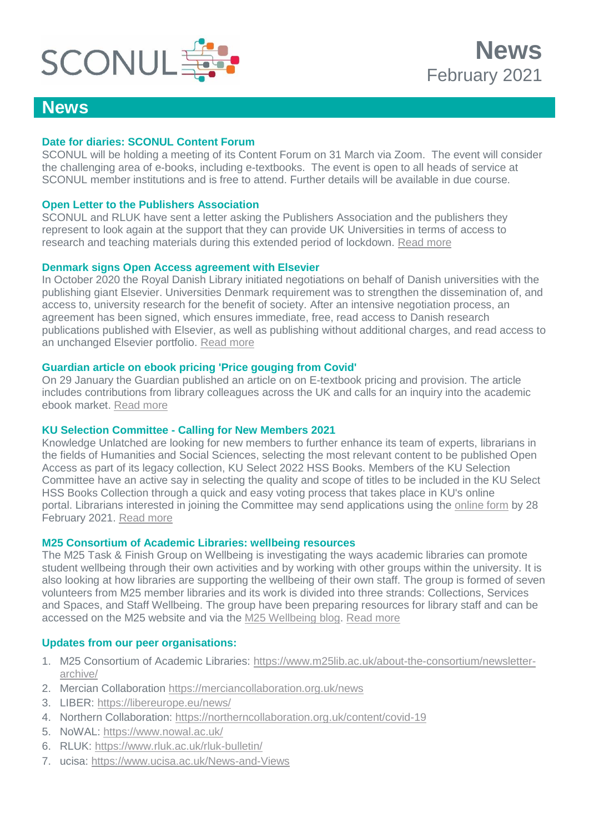

### **News**

#### **Date for diaries: SCONUL Content Forum**

SCONUL will be holding a meeting of its Content Forum on 31 March via Zoom. The event will consider the challenging area of e-books, including e-textbooks. The event is open to all heads of service at SCONUL member institutions and is free to attend. Further details will be available in due course.

#### **Open Letter to the Publishers Association**

SCONUL and RLUK have sent a letter asking the Publishers Association and the publishers they represent to look again at the support that they can provide UK Universities in terms of access to research and teaching materials during this extended period of lockdown. [Read more](https://www.sconul.ac.uk/news/open-letter-to-the-publishers-association)

#### **Denmark signs Open Access agreement with Elsevier**

In October 2020 the Royal Danish Library initiated negotiations on behalf of Danish universities with the publishing giant Elsevier. Universities Denmark requirement was to strengthen the dissemination of, and access to, university research for the benefit of society. After an intensive negotiation process, an agreement has been signed, which ensures immediate, free, read access to Danish research publications published with Elsevier, as well as publishing without additional charges, and read access to an unchanged Elsevier portfolio. [Read more](https://dkuni.dk/pressemeddelelser/denmark-enters-agreement-on-open-access-with-major-publisher/)

#### **Guardian article on ebook pricing 'Price gouging from Covid'**

On 29 January the Guardian published an article on on E-textbook pricing and provision. The article includes contributions from library colleagues across the UK and calls for an inquiry into the academic ebook market. [Read more](https://www.theguardian.com/education/2021/jan/29/price-gouging-from-covid-student-ebooks-costing-up-to-500-more-than-in-print)

#### **KU Selection Committee - Calling for New Members 2021**

Knowledge Unlatched are looking for new members to further enhance its team of experts, librarians in the fields of Humanities and Social Sciences, selecting the most relevant content to be published Open Access as part of its legacy collection, KU Select 2022 HSS Books. Members of the KU Selection Committee have an active say in selecting the quality and scope of titles to be included in the KU Select HSS Books Collection through a quick and easy voting process that takes place in KU's online portal. Librarians interested in joining the Committee may send applications using the [online form](https://www.knowledgeunlatched.org/ku-selection-committee/) by 28 February 2021. [Read more](https://knowledgeunlatched.org/ku-selection-committee/)

#### **M25 Consortium of Academic Libraries: wellbeing resources**

The M25 Task & Finish Group on Wellbeing is investigating the ways academic libraries can promote student wellbeing through their own activities and by working with other groups within the university. It is also looking at how libraries are supporting the wellbeing of their own staff. The group is formed of seven volunteers from M25 member libraries and its work is divided into three strands: Collections, Services and Spaces, and Staff Wellbeing. The group have been preparing resources for library staff and can be accessed on the M25 website and via the [M25 Wellbeing blog.](https://m25wellbeing.blog/) [Read more](https://www.m25lib.ac.uk/m25-resources-and-activities/task-finish-group-wellbeing/wellbeing-resources-for-library-staff/)

#### **Updates from our peer organisations:**

- 1. M25 Consortium of Academic Libraries: [https://www.m25lib.ac.uk/about-the-consortium/newsletter](https://www.m25lib.ac.uk/about-the-consortium/newsletter-archive/)[archive/](https://www.m25lib.ac.uk/about-the-consortium/newsletter-archive/)
- 2. Mercian Collaboration <https://merciancollaboration.org.uk/news>
- 3. LIBER:<https://libereurope.eu/news/>
- 4. Northern Collaboration:<https://northerncollaboration.org.uk/content/covid-19>
- 5. NoWAL:<https://www.nowal.ac.uk/>
- 6. RLUK:<https://www.rluk.ac.uk/rluk-bulletin/>
- 7. ucisa:<https://www.ucisa.ac.uk/News-and-Views>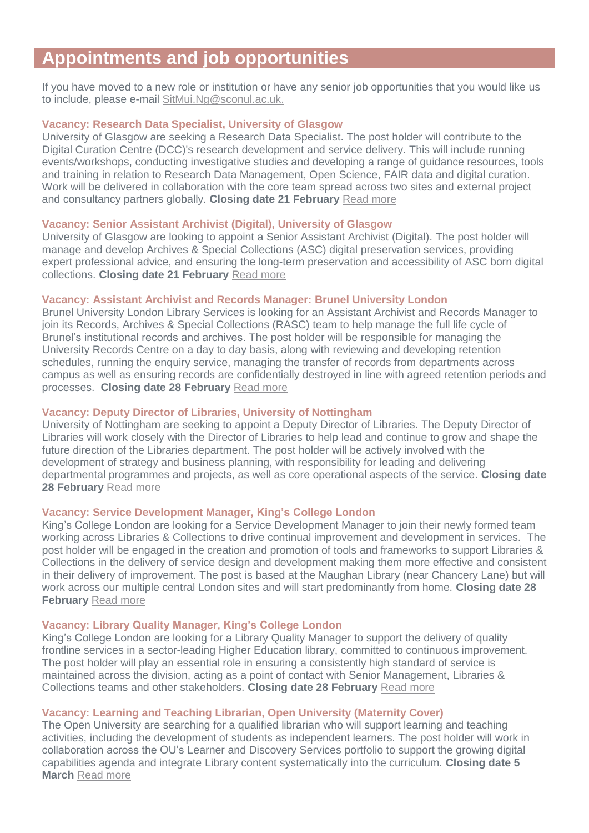# **Appointments and job opportunities**

If you have moved to a new role or institution or have any senior job opportunities that you would like us to include, please e-mail [SitMui.Ng@sconul.ac.uk.](mailto:SitMui.Ng@sconul.ac.uk)

#### **Vacancy: Research Data Specialist, University of Glasgow**

University of Glasgow are seeking a Research Data Specialist. The post holder will contribute to the Digital Curation Centre (DCC)'s research development and service delivery. This will include running events/workshops, conducting investigative studies and developing a range of guidance resources, tools and training in relation to Research Data Management, Open Science, FAIR data and digital curation. Work will be delivered in collaboration with the core team spread across two sites and external project and consultancy partners globally. **Closing date 21 February** [Read more](https://my.corehr.com/pls/uogrecruit/erq_jobspec_version_4.jobspec?p_id=045565)

#### **Vacancy: Senior Assistant Archivist (Digital), University of Glasgow**

University of Glasgow are looking to appoint a Senior Assistant Archivist (Digital). The post holder will manage and develop Archives & Special Collections (ASC) digital preservation services, providing expert professional advice, and ensuring the long-term preservation and accessibility of ASC born digital collections. **Closing date 21 February** [Read more](https://my.corehr.com/pls/uogrecruit/erq_jobspec_version_4.jobspec?p_id=047868)

#### **Vacancy: Assistant Archivist and Records Manager: Brunel University London**

Brunel University London Library Services is looking for an Assistant Archivist and Records Manager to join its Records, Archives & Special Collections (RASC) team to help manage the full life cycle of Brunel's institutional records and archives. The post holder will be responsible for managing the University Records Centre on a day to day basis, along with reviewing and developing retention schedules, running the enquiry service, managing the transfer of records from departments across campus as well as ensuring records are confidentially destroyed in line with agreed retention periods and processes. **Closing date 28 February** [Read more](https://careers.brunel.ac.uk/vacancy/assistant-archivist-and-records-manager-10676-437180.html)

#### **Vacancy: Deputy Director of Libraries, University of Nottingham**

University of Nottingham are seeking to appoint a Deputy Director of Libraries. The Deputy Director of Libraries will work closely with the Director of Libraries to help lead and continue to grow and shape the future direction of the Libraries department. The post holder will be actively involved with the development of strategy and business planning, with responsibility for leading and delivering departmental programmes and projects, as well as core operational aspects of the service. **Closing date 28 February** [Read more](https://www.nottingham.ac.uk/jobs/currentvacancies/senior-appointments/deputy-director-libraries/deputy-director-of-libraries.aspx)

#### **Vacancy: Service Development Manager, King's College London**

King's College London are looking for a Service Development Manager to join their newly formed team working across Libraries & Collections to drive continual improvement and development in services. The post holder will be engaged in the creation and promotion of tools and frameworks to support Libraries & Collections in the delivery of service design and development making them more effective and consistent in their delivery of improvement. The post is based at the Maughan Library (near Chancery Lane) but will work across our multiple central London sites and will start predominantly from home. **Closing date 28 February** [Read more](https://jobs.kcl.ac.uk/gb/en/job/015484/Service-Development-Manager)

#### **Vacancy: Library Quality Manager, King's College London**

King's College London are looking for a Library Quality Manager to support the delivery of quality frontline services in a sector-leading Higher Education library, committed to continuous improvement. The post holder will play an essential role in ensuring a consistently high standard of service is maintained across the division, acting as a point of contact with Senior Management, Libraries & Collections teams and other stakeholders. **Closing date 28 February** [Read more](https://jobs.kcl.ac.uk/gb/en/job/015405/Library-Quality-Manager)

#### **Vacancy: Learning and Teaching Librarian, Open University (Maternity Cover)**

The Open University are searching for a qualified librarian who will support learning and teaching activities, including the development of students as independent learners. The post holder will work in collaboration across the OU's Learner and Discovery Services portfolio to support the growing digital capabilities agenda and integrate Library content systematically into the curriculum. **Closing date 5 March** [Read more](http://www.open.ac.uk/about/employment/vacancies/learning-teaching-librarian-18071)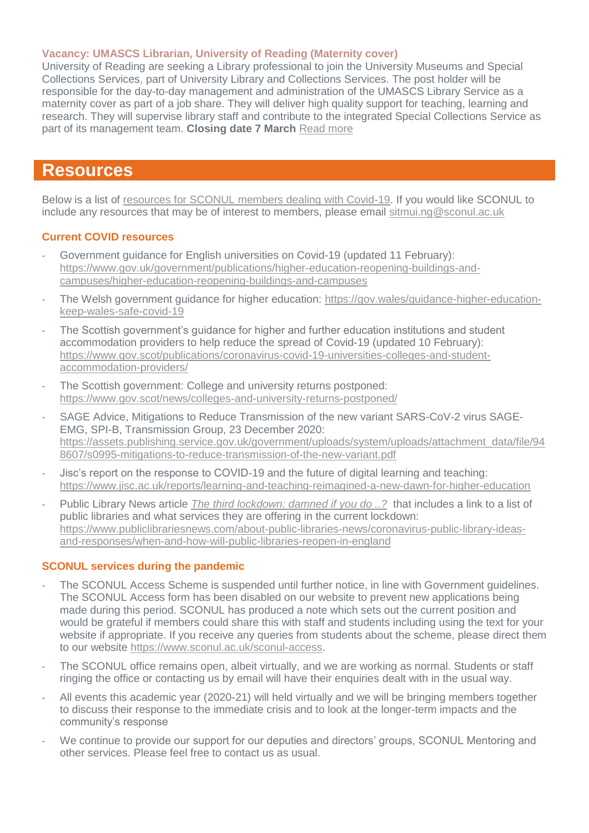#### **Vacancy: UMASCS Librarian, University of Reading (Maternity cover)**

University of Reading are seeking a Library professional to join the University Museums and Special Collections Services, part of University Library and Collections Services. The post holder will be responsible for the day-to-day management and administration of the UMASCS Library Service as a maternity cover as part of a job share. They will deliver high quality support for teaching, learning and research. They will supervise library staff and contribute to the integrated Special Collections Service as part of its management team. **Closing date 7 March** [Read more](https://jobs.reading.ac.uk/displayjob.aspx?jobid=7541)

## **Resources**

Below is a list of [resources for SCONUL members dealing with Covid-19.](https://www.sconul.ac.uk/page/resources-for-sconul-members-dealing-with-covid-19) If you would like SCONUL to include any resources that may be of interest to members, please email [sitmui.ng@sconul.ac.uk](mailto:sitmui.ng@sconul.ac.uk)

#### **Current COVID resources**

- Government guidance for English universities on Covid-19 (updated 11 February): [https://www.gov.uk/government/publications/higher-education-reopening-buildings-and](https://www.gov.uk/government/publications/higher-education-reopening-buildings-and-campuses/higher-education-reopening-buildings-and-campuses)[campuses/higher-education-reopening-buildings-and-campuses](https://www.gov.uk/government/publications/higher-education-reopening-buildings-and-campuses/higher-education-reopening-buildings-and-campuses)
- The Welsh government guidance for higher education: [https://gov.wales/guidance-higher-education](https://gov.wales/guidance-higher-education-keep-wales-safe-covid-19)[keep-wales-safe-covid-19](https://gov.wales/guidance-higher-education-keep-wales-safe-covid-19)
- The Scottish government's guidance for higher and further education institutions and student accommodation providers to help reduce the spread of Covid-19 (updated 10 February): [https://www.gov.scot/publications/coronavirus-covid-19-universities-colleges-and-student](https://www.gov.scot/publications/coronavirus-covid-19-universities-colleges-and-student-accommodation-providers/)[accommodation-providers/](https://www.gov.scot/publications/coronavirus-covid-19-universities-colleges-and-student-accommodation-providers/)
- The Scottish government: College and university returns postponed: <https://www.gov.scot/news/colleges-and-university-returns-postponed/>
- SAGE Advice, Mitigations to Reduce Transmission of the new variant SARS-CoV-2 virus SAGE-EMG, SPI-B, Transmission Group, 23 December 2020: [https://assets.publishing.service.gov.uk/government/uploads/system/uploads/attachment\\_data/file/94](https://assets.publishing.service.gov.uk/government/uploads/system/uploads/attachment_data/file/948607/s0995-mitigations-to-reduce-transmission-of-the-new-variant.pdf) [8607/s0995-mitigations-to-reduce-transmission-of-the-new-variant.pdf](https://assets.publishing.service.gov.uk/government/uploads/system/uploads/attachment_data/file/948607/s0995-mitigations-to-reduce-transmission-of-the-new-variant.pdf)
- Jisc's report on the response to COVID-19 and the future of digital learning and teaching: <https://www.jisc.ac.uk/reports/learning-and-teaching-reimagined-a-new-dawn-for-higher-education>
- Public Library News article *[The third lockdown: damned if you do ..?](https://www.publiclibrariesnews.com/)* that includes a link to a list of public libraries and what services they are offering in the current lockdown: [https://www.publiclibrariesnews.com/about-public-libraries-news/coronavirus-public-library-ideas](https://www.publiclibrariesnews.com/about-public-libraries-news/coronavirus-public-library-ideas-and-responses/when-and-how-will-public-libraries-reopen-in-england)[and-responses/when-and-how-will-public-libraries-reopen-in-england](https://www.publiclibrariesnews.com/about-public-libraries-news/coronavirus-public-library-ideas-and-responses/when-and-how-will-public-libraries-reopen-in-england)

#### **SCONUL services during the pandemic**

- The SCONUL Access Scheme is suspended until further notice, in line with Government guidelines. The SCONUL Access form has been disabled on our website to prevent new applications being made during this period. SCONUL has produced a note which sets out the current position and would be grateful if members could share this with staff and students including using the text for your website if appropriate. If you receive any queries from students about the scheme, please direct them to our website [https://www.sconul.ac.uk/sconul-access.](https://www.sconul.ac.uk/sconul-access)
- The SCONUL office remains open, albeit virtually, and we are working as normal. Students or staff ringing the office or contacting us by email will have their enquiries dealt with in the usual way.
- All events this academic year (2020-21) will held virtually and we will be bringing members together to discuss their response to the immediate crisis and to look at the longer-term impacts and the community's response
- We continue to provide our support for our deputies and directors' groups, SCONUL Mentoring and other services. Please feel free to contact us as usual.